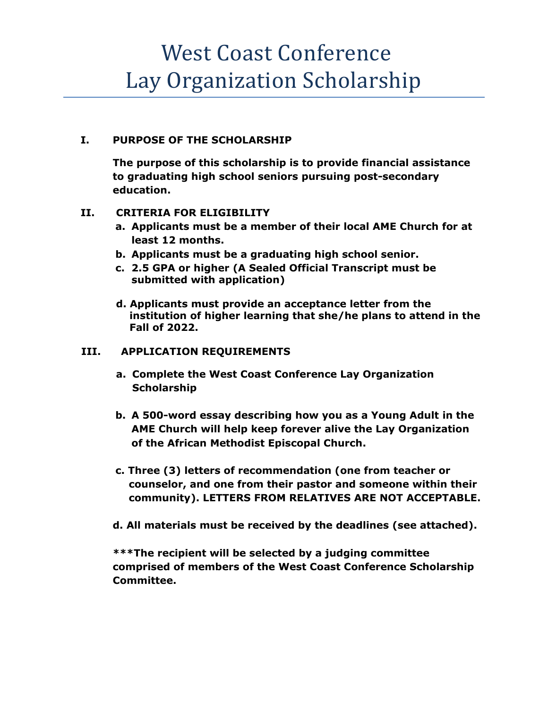## West Coast Conference Lay Organization Scholarship

### **I. PURPOSE OF THE SCHOLARSHIP**

**The purpose of this scholarship is to provide financial assistance to graduating high school seniors pursuing post-secondary education.** 

### **II. CRITERIA FOR ELIGIBILITY**

- **a. Applicants must be a member of their local AME Church for at least 12 months.**
- **b. Applicants must be a graduating high school senior.**
- **c. 2.5 GPA or higher (A Sealed Official Transcript must be submitted with application)**
- **d. Applicants must provide an acceptance letter from the institution of higher learning that she/he plans to attend in the Fall of 2022.**

### **III. APPLICATION REQUIREMENTS**

- **a. Complete the West Coast Conference Lay Organization Scholarship**
- **b. A 500-word essay describing how you as a Young Adult in the AME Church will help keep forever alive the Lay Organization of the African Methodist Episcopal Church.**
- **c. Three (3) letters of recommendation (one from teacher or counselor, and one from their pastor and someone within their community). LETTERS FROM RELATIVES ARE NOT ACCEPTABLE.**
- **d. All materials must be received by the deadlines (see attached).**

**\*\*\*The recipient will be selected by a judging committee comprised of members of the West Coast Conference Scholarship Committee.**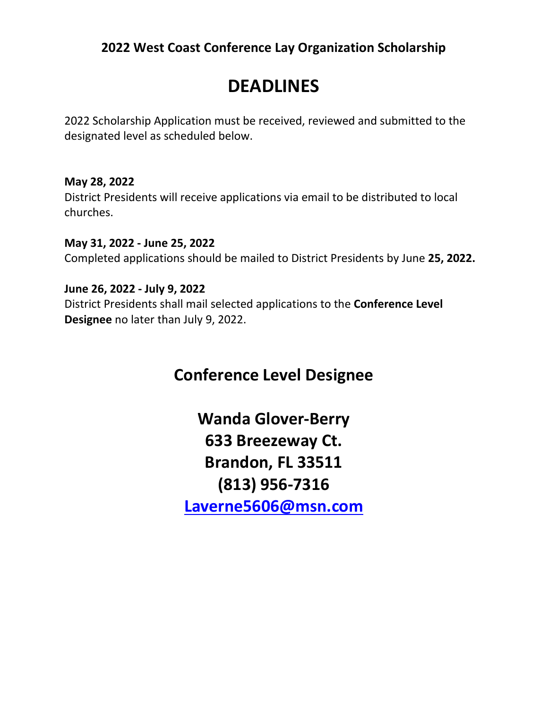### **2022 West Coast Conference Lay Organization Scholarship**

## **DEADLINES**

2022 Scholarship Application must be received, reviewed and submitted to the designated level as scheduled below.

**May 28, 2022** District Presidents will receive applications via email to be distributed to local churches.

**May 31, 2022 - June 25, 2022** Completed applications should be mailed to District Presidents by June **25, 2022.**

**June 26, 2022 - July 9, 2022** District Presidents shall mail selected applications to the **Conference Level Designee** no later than July 9, 2022.

### **Conference Level Designee**

**Wanda Glover-Berry 633 Breezeway Ct. Brandon, FL 33511 (813) 956-7316 [Laverne5606@msn.com](mailto:Laverne5606@msn.com)**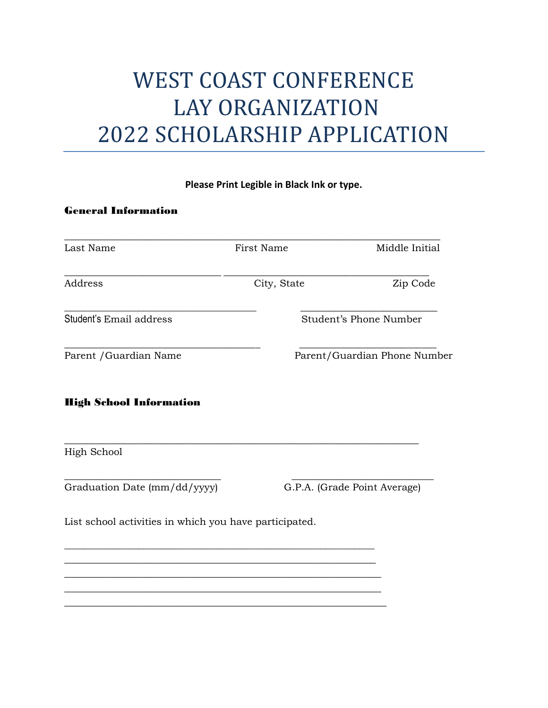# WEST COAST CONFERENCE LAY ORGANIZATION 2022 SCHOLARSHIP APPLICATION

### **Please Print Legible in Black Ink or type.**

#### General Information

| Last Name               | First Name  | Middle Initial<br>Zip Code   |  |
|-------------------------|-------------|------------------------------|--|
| Address                 | City, State |                              |  |
| Student's Email address |             | Student's Phone Number       |  |
| Parent / Guardian Name  |             | Parent/Guardian Phone Number |  |

\_\_\_\_\_\_\_\_\_\_\_\_\_\_\_\_\_\_\_\_\_\_\_\_\_\_\_\_\_\_\_\_\_\_\_\_\_\_\_\_\_\_\_\_\_\_\_\_\_\_\_\_\_\_\_\_\_\_\_\_\_\_\_\_\_\_

\_\_\_\_\_\_\_\_\_\_\_\_\_\_\_\_\_\_\_\_\_\_\_\_\_\_\_\_\_\_\_\_ \_\_\_\_\_\_\_\_\_\_\_\_\_\_\_\_\_\_\_\_\_\_\_\_\_\_\_\_\_

### High School Information

High School

Graduation Date (mm/dd/yyyy) G.P.A. (Grade Point Average)

List school activities in which you have participated.

\_\_\_\_\_\_\_\_\_\_\_\_\_\_\_\_\_\_\_\_\_\_\_\_\_\_\_\_\_\_\_\_\_\_\_\_\_\_\_\_\_\_\_\_\_\_\_\_\_\_\_\_\_\_\_\_\_\_\_\_\_\_\_ \_\_\_\_\_\_\_\_\_\_\_\_\_\_\_\_\_\_\_\_\_\_\_\_\_\_\_\_\_\_\_\_\_\_\_\_\_\_\_\_\_\_\_\_\_\_\_\_\_\_\_\_\_\_\_\_\_\_ \_\_\_\_\_\_\_\_\_\_\_\_\_\_\_\_\_\_\_\_\_\_\_\_\_\_\_\_\_\_\_\_\_\_\_\_\_\_\_\_\_\_\_\_\_\_\_\_\_\_\_\_\_\_\_\_\_\_\_ \_\_\_\_\_\_\_\_\_\_\_\_\_\_\_\_\_\_\_\_\_\_\_\_\_\_\_\_\_\_\_\_\_\_\_\_\_\_\_\_\_\_\_\_\_\_\_\_\_\_\_\_\_\_\_\_\_\_\_ \_\_\_\_\_\_\_\_\_\_\_\_\_\_\_\_\_\_\_\_\_\_\_\_\_\_\_\_\_\_\_\_\_\_\_\_\_\_\_\_\_\_\_\_\_\_\_\_\_\_\_\_\_\_\_\_\_\_\_\_